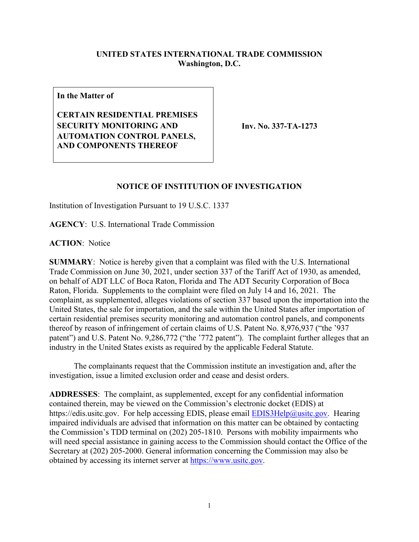## **UNITED STATES INTERNATIONAL TRADE COMMISSION Washington, D.C.**

**In the Matter of**

**CERTAIN RESIDENTIAL PREMISES SECURITY MONITORING AND AUTOMATION CONTROL PANELS, AND COMPONENTS THEREOF**

**Inv. No. 337-TA-1273**

## **NOTICE OF INSTITUTION OF INVESTIGATION**

Institution of Investigation Pursuant to 19 U.S.C. 1337

**AGENCY**: U.S. International Trade Commission

**ACTION**: Notice

**SUMMARY**: Notice is hereby given that a complaint was filed with the U.S. International Trade Commission on June 30, 2021, under section 337 of the Tariff Act of 1930, as amended, on behalf of ADT LLC of Boca Raton, Florida and The ADT Security Corporation of Boca Raton, Florida. Supplements to the complaint were filed on July 14 and 16, 2021. The complaint, as supplemented, alleges violations of section 337 based upon the importation into the United States, the sale for importation, and the sale within the United States after importation of certain residential premises security monitoring and automation control panels, and components thereof by reason of infringement of certain claims of U.S. Patent No. 8,976,937 ("the '937 patent") and U.S. Patent No. 9,286,772 ("the '772 patent"). The complaint further alleges that an industry in the United States exists as required by the applicable Federal Statute.

The complainants request that the Commission institute an investigation and, after the investigation, issue a limited exclusion order and cease and desist orders.

**ADDRESSES**: The complaint, as supplemented, except for any confidential information contained therein, may be viewed on the Commission's electronic docket (EDIS) at https://edis.usitc.gov. For help accessing EDIS, please email [EDIS3Help@usitc.gov.](mailto:EDIS3Help@usitc.gov) Hearing impaired individuals are advised that information on this matter can be obtained by contacting the Commission's TDD terminal on (202) 205-1810. Persons with mobility impairments who will need special assistance in gaining access to the Commission should contact the Office of the Secretary at (202) 205-2000. General information concerning the Commission may also be obtained by accessing its internet server at [https://www.usitc.gov.](https://www.usitc.gov/)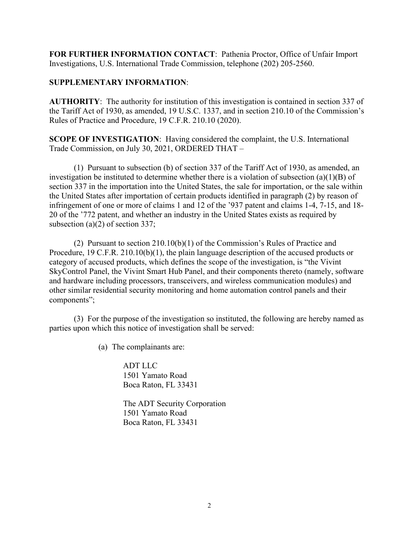**FOR FURTHER INFORMATION CONTACT**: Pathenia Proctor, Office of Unfair Import Investigations, U.S. International Trade Commission, telephone (202) 205-2560.

## **SUPPLEMENTARY INFORMATION**:

**AUTHORITY**: The authority for institution of this investigation is contained in section 337 of the Tariff Act of 1930, as amended, 19 U.S.C. 1337, and in section 210.10 of the Commission's Rules of Practice and Procedure, 19 C.F.R. 210.10 (2020).

**SCOPE OF INVESTIGATION**: Having considered the complaint, the U.S. International Trade Commission, on July 30, 2021, ORDERED THAT –

(1) Pursuant to subsection (b) of section 337 of the Tariff Act of 1930, as amended, an investigation be instituted to determine whether there is a violation of subsection (a)(1)(B) of section 337 in the importation into the United States, the sale for importation, or the sale within the United States after importation of certain products identified in paragraph (2) by reason of infringement of one or more of claims 1 and 12 of the '937 patent and claims 1-4, 7-15, and 18- 20 of the '772 patent, and whether an industry in the United States exists as required by subsection (a)(2) of section 337;

(2) Pursuant to section 210.10(b)(1) of the Commission's Rules of Practice and Procedure, 19 C.F.R. 210.10(b)(1), the plain language description of the accused products or category of accused products, which defines the scope of the investigation, is "the Vivint SkyControl Panel, the Vivint Smart Hub Panel, and their components thereto (namely, software and hardware including processors, transceivers, and wireless communication modules) and other similar residential security monitoring and home automation control panels and their components";

(3) For the purpose of the investigation so instituted, the following are hereby named as parties upon which this notice of investigation shall be served:

(a) The complainants are:

ADT LLC 1501 Yamato Road Boca Raton, FL 33431

The ADT Security Corporation 1501 Yamato Road Boca Raton, FL 33431